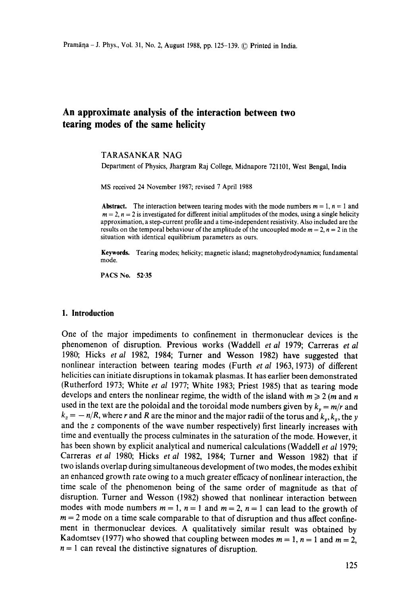# **An approximate analysis of the interaction between two tearing modes of the same helicity**

### TARASANKAR NAG

Department of Physics, Jhargram Raj College, Midnapore 721101, West Bengal, India

MS received 24 November 1987; revised 7 April 1988

Abstract. The interaction between tearing modes with the mode numbers  $m = 1$ ,  $n = 1$  and  $m = 2$ ,  $n = 2$  is investigated for different initial amplitudes of the modes, using a single helicity approximation, a step-current profile and a time-independent resistivity. Also included are the results on the temporal behaviour of the amplitude of the uncoupled mode  $m = 2$ ,  $n = 2$  in the situation with identical equilibrium parameters as ours.

**Keywords.** Tearing modes; helicity; magnetic island; magnetohydrodynamics; fundamental mode.

PACS No. 52-35

#### **1. Introduction**

One of the major impediments to confinement in thermonuclear devices is the phenomenon of disruption. Previous works (Waddell *et al* 1979; Carreras *et al*  1980; Hicks *etal* 1982, 1984; Turner and Wesson 1982) have suggested that nonlinear interaction between tearing modes (Furth *et a!* 1963, 1973) of different helicities can initiate disruptions in tokamak plasmas. It has earlier been demonstrated (Rutherford 1973; White *et al* 1977; White 1983; Priest 1985) that as tearing mode develops and enters the nonlinear regime, the width of the island with  $m \geq 2$  (*m* and *n* used in the text are the poloidal and the toroidal mode numbers given by  $k_y = m/r$  and  $k_z = -n/R$ , where r and R are the minor and the major radii of the torus and  $k_y, k_z$ , the y and the z components of the wave number respectively) first linearly increases with time and eventually the process culminates in the saturation of the mode. However, it has been shown by explicit analytical and numerical calculations (Waddell *et al* 1979; Carreras *et al* 1980; Hicks *et al* 1982, 1984; Turner and Wesson 1982) that if two islands overlap during simultaneous development of two modes, the modes exhibit an enhanced growth rate owing to a much greater efficacy of nonlinear interaction, the time scale of the phenomenon being of the same order of magnitude as that of disruption. Turner and Wesson (1982) showed that nonlinear interaction between modes with mode numbers  $m = 1$ ,  $n = 1$  and  $m = 2$ ,  $n = 1$  can lead to the growth of  $m = 2$  mode on a time scale comparable to that of disruption and thus affect confinement in thermonuclear devices. A qualitatively similar result was obtained by Kadomtsev (1977) who showed that coupling between modes  $m = 1$ ,  $n = 1$  and  $m = 2$ ,  $n = 1$  can reveal the distinctive signatures of disruption.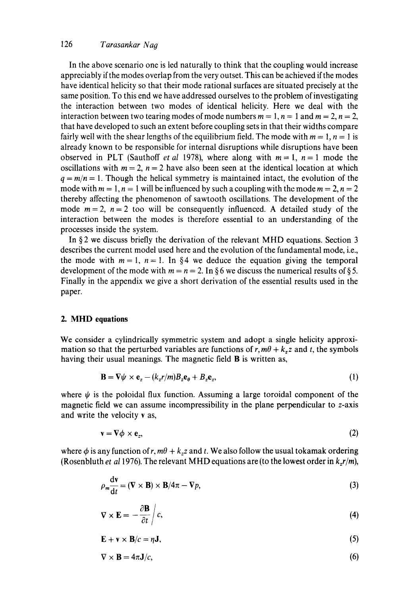### 126 *Tarasankar Na9*

In the above scenario one is led naturally to think that the coupling would increase appreciably if the modes overlap from the very outset. This can be achieved if the modes have identical helicity so that their mode rational surfaces are situated precisely at the same position. To this end we have addressed ourselves to the problem of investigating the interaction between two modes of identical helicity. Here we deal with the interaction between two tearing modes of mode numbers  $m = 1$ ,  $n = 1$  and  $m = 2$ ,  $n = 2$ , that have developed to such an extent before coupling sets in that their widths compare fairly well with the shear lengths of the equilibrium field. The mode with  $m = 1$ ,  $n = 1$  is already known to be responsible for internal disruptions while disruptions have been observed in PLT (Sauthoff *et al* 1978), where along with  $m = 1$ ,  $n = 1$  mode the oscillations with  $m = 2$ ,  $n = 2$  have also been seen at the identical location at which  $q = m/n = 1$ . Though the helical symmetry is maintained intact, the evolution of the mode with  $m = 1$ ,  $n = 1$  will be influenced by such a coupling with the mode  $m = 2$ ,  $n = 2$ thereby affecting the phenomenon of sawtooth oscillations. The development of the mode  $m = 2$ ,  $n = 2$  too will be consequently influenced. A detailed study of the interaction between the modes is therefore essential to an understanding of the processes inside the system.

In § 2 we discuss briefly the derivation of the relevant MHD equations. Section 3 describes the current model used here and the evolution of the fundamental mode, i.e., the mode with  $m = 1$ ,  $n = 1$ . In §4 we deduce the equation giving the temporal development of the mode with  $m = n = 2$ . In §6 we discuss the numerical results of §5. Finally in the appendix we give a short derivation of the essential results used in the paper.

### **2. MHD equations**

We consider a cylindrically symmetric system and adopt a single helicity approximation so that the perturbed variables are functions of  $r, m\theta + k_z z$  and t, the symbols having their usual meanings. The magnetic field **B** is written as,

$$
\mathbf{B} = \nabla \psi \times \mathbf{e}_z - (k_z r/m) B_z \mathbf{e}_{\theta} + B_z \mathbf{e}_z, \tag{1}
$$

where  $\psi$  is the poloidal flux function. Assuming a large toroidal component of the magnetic field we can assume incompressibility in the plane perpendicular to z-axis and write the velocity v as,

$$
\mathbf{v} = \nabla \phi \times \mathbf{e}_z, \tag{2}
$$

where  $\phi$  is any function of r,  $m\theta + k_z z$  and t. We also follow the usual tokamak ordering (Rosenbluth *et al* 1976). The relevant MHD equations are (to the lowest order in  $k_z r/m$ ),

$$
\rho_m \frac{\mathrm{d} \mathbf{v}}{\mathrm{d} t} = (\mathbf{V} \times \mathbf{B}) \times \mathbf{B}/4\pi - \mathbf{V}p,\tag{3}
$$

$$
\nabla \times \mathbf{E} = -\frac{\partial \mathbf{B}}{\partial t} \bigg| c,\tag{4}
$$

$$
\mathbf{E} + \mathbf{v} \times \mathbf{B}/c = \eta \mathbf{J},\tag{5}
$$

$$
\nabla \times \mathbf{B} = 4\pi \mathbf{J}/c,\tag{6}
$$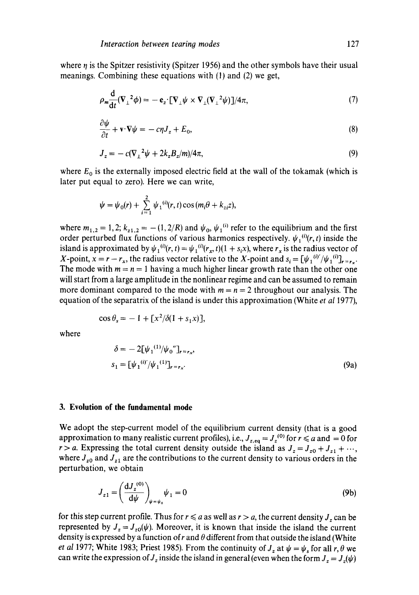where  $\eta$  is the Spitzer resistivity (Spitzer 1956) and the other symbols have their usual meanings. Combining these equations with (l) and (2) we get,

$$
\rho_m \frac{\mathrm{d}}{\mathrm{d}t} (\nabla_\perp^2 \phi) = - \mathbf{e}_z \cdot [\nabla_\perp \psi \times \nabla_\perp (\nabla_\perp^2 \psi)] / 4\pi,\tag{7}
$$

$$
\frac{\partial \psi}{\partial t} + \mathbf{v} \cdot \nabla \psi = -c\eta J_z + E_0, \tag{8}
$$

$$
J_z = -c(\nabla_{\perp}^2 \psi + 2k_z B_z/m)/4\pi,\tag{9}
$$

where  $E_0$  is the externally imposed electric field at the wall of the tokamak (which is later put equal to zero). Here we can write,

$$
\psi = \psi_0(r) + \sum_{i=1}^2 \psi_1^{(i)}(r,t) \cos(m_i \theta + k_{zi} z),
$$

where  $m_{1,2} = 1,2; k_{z1,2} = -(1,2/R)$  and  $\psi_0$ ,  $\psi_1^{(1)}$  refer to the equilibrium and the first order perturbed flux functions of various harmonics respectively.  $\psi_1^{(0)}(r, t)$  inside the island is approximated by  $\psi_1^{(i)}(r, t) = \psi_1^{(i)}(r_x, t)(1 + s_i x)$ , where  $r_x$  is the radius vector of X-point,  $x = r - r_x$ , the radius vector relative to the X-point and  $s_i = [\psi_1^{(i)'} / \psi_1^{(i)}]_{r=r_x}$ . The mode with  $m = n = 1$  having a much higher linear growth rate than the other one will start from a large amplitude in the nonlinear regime and can be assumed to remain more dominant compared to the mode with  $m = n = 2$  throughout our analysis. The equation of the separatrix of the island is under this approximation (White *et al* 1977),

$$
\cos \theta_s = -1 + [x^2/\delta(1 + s_1 x)],
$$

where

$$
\delta = -2[\psi_1^{(1)}/\psi_0^{\prime\prime}]_{r=r_x},
$$
  

$$
s_1 = [\psi_1^{(i)'}/\psi_1^{(1)}]_{r=r_x}.
$$
 (9a)

### **3. Evolution of the fundamental mode**

 $\mathbf{z}$ 

We adopt the step-current model of the equilibrium current density (that is a good approximation to many realistic current profiles), i.e.,  $J_{z,eq} = J_z^{(0)}$  for  $r \le a$  and  $= 0$  for  $r > a$ . Expressing the total current density outside the island as  $J_z = J_{z0} + J_{z1} + \cdots$ , where  $J_{z0}$  and  $J_{z1}$  are the contributions to the current density to various orders in the perturbation, we obtain

$$
J_{z1} = \left(\frac{\mathrm{d}J_z^{(0)}}{\mathrm{d}\psi}\right)_{\psi=\psi_0} \psi_1 = 0 \tag{9b}
$$

for this step current profile. Thus for  $r \le a$  as well as  $r > a$ , the current density  $J_z$  can be represented by  $J_z = J_{z0}(\psi)$ . Moreover, it is known that inside the island the current density is expressed by a function of r and  $\theta$  different from that outside the island (White *et al 1977;* White 1983; Priest 1985). From the continuity of  $J_z$  at  $\psi = \psi_s$  for all r,  $\theta$  we can write the expression of  $J_z$  inside the island in general (even when the form  $J_z = J_z(\psi)$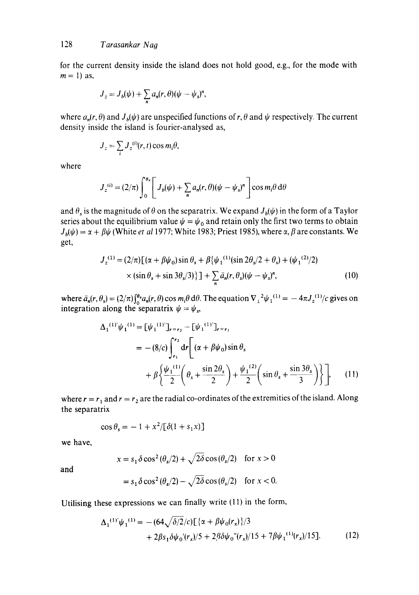for the current density inside the island does not hold good, e.g., for the mode with  $m = 1$ ) as,

$$
J_z = J_b(\psi) + \sum_n a_n(r,\theta)(\psi - \psi_s)^n,
$$

where  $a_n(r, \theta)$  and  $J_h(\psi)$  are unspecified functions of r,  $\theta$  and  $\psi$  respectively. The current density inside the island is fourier-analysed as,

$$
J_z = \sum_i J_z^{(i)}(r, t) \cos m_i \theta,
$$

where

$$
J_z^{(i)} = (2/\pi) \int_0^{\theta_s} \left[ J_b(\psi) + \sum_n a_n(r,\theta) (\psi - \psi_s)^n \right] \cos m_i \theta \, d\theta
$$

and  $\theta_2$  is the magnitude of  $\theta$  on the separatrix. We expand  $J_b(\psi)$  in the form of a Taylor series about the equilibrium value  $\psi = \psi_0$  and retain only the first two terms to obtain  $J_b(\psi) = \alpha + \beta \psi$  (White *et al* 1977; White 1983; Priest 1985), where  $\alpha$ ,  $\beta$  are constants. We get,

$$
J_z^{(1)} = (2/\pi) \left[ (\alpha + \beta \psi_0) \sin \theta_s + \beta \{ \psi_1^{(1)} (\sin 2\theta_s / 2 + \theta_s) + (\psi_1^{(2)} / 2) \times (\sin \theta_s + \sin 3\theta_s / 3) \} \right] + \sum_n \bar{a}_n (r, \theta_s) (\psi - \psi_s)^n, \tag{10}
$$

where  $\bar{a}_n(r, \theta_s) = (2/\pi)\int_0^{\theta_s} a_n(r, \theta) \cos m_i \theta \, d\theta$ . The equation  $\nabla_{\perp}^2 \psi_1^{(1)} = -4\pi J_z^{(1)}/c$  gives on integration along the separatrix  $\psi = \psi_s$ ,

$$
\Delta_1^{(1)'}\psi_1^{(1)} = [\psi_1^{(1)}]_{r=r_2} - [\psi_1^{(1)}]_{r=r_1}
$$
  
= - (8/c)  $\int_{r_1}^{r_2} dr \left[ (\alpha + \beta \psi_0) \sin \theta_s$   
+  $\beta \left\{ \frac{\psi_1^{(1)}}{2} \left( \theta_s + \frac{\sin 2\theta_s}{2} \right) + \frac{\psi_1^{(2)}}{2} \left( \sin \theta_s + \frac{\sin 3\theta_s}{3} \right) \right\} \right],$  (11)

where  $r = r_1$  and  $r = r_2$  are the radial co-ordinates of the extremities of the island. Along the separatrix

$$
\cos \theta_s = -1 + x^2 / [\delta(1 + s_1 x)]
$$

we have,

 $x = s_1 \delta \cos^2(\theta_s/2) + \sqrt{2\delta} \cos(\theta_s/2)$  for  $x > 0$ 

and

$$
= s_1 \delta \cos^2(\theta_s/2) - \sqrt{2\delta} \cos(\theta_s/2) \quad \text{for } x < 0.
$$

Utilising these expressions we can finally write **(11)** in the form,

$$
\Delta_1^{(1)'}\psi_1^{(1)} = -(64\sqrt{\delta/2}/c)\left[\frac{\alpha + \beta\psi_0(r_x)}{\lambda}\right]/3 + 2\beta s_1 \delta\psi_0'(r_x)/5 + 2\beta\delta\psi_0''(r_x)/15 + 7\beta\psi_1^{(1)}(r_x)/15\right].
$$
 (12)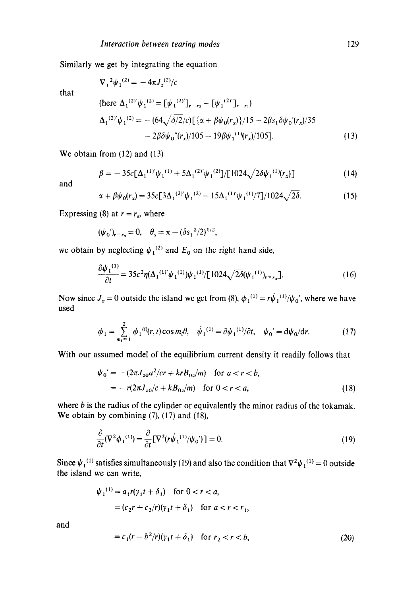Similarly we get by integrating the equation  $\nabla^{-2} \psi_1^{(2)} = -4\pi J_z^{(2)}/c$ 

that

$$
(\text{here } \Delta_1^{(2)} \psi_1^{(2)} = [\psi_1^{(2)}]_{r=r_2} - [\psi_1^{(2)}]_{r=r_1})
$$
\n
$$
\Delta_1^{(2)} \psi_1^{(2)} = -(64\sqrt{\delta/2}/c) [\{\alpha + \beta\psi_0(r_x)\}/15 - 2\beta s_1 \delta\psi_0'(r_x)/35 - 2\beta\delta\psi_0''(r_x)/105 - 19\beta\psi_1^{(1)}(r_x)/105].
$$
\n(13)

We obtain from (12) and (13)

$$
\beta = -35c[\Delta_1^{(1)}'\psi_1^{(1)} + 5\Delta_1^{(2)}'\psi_1^{(2)}]/[1024\sqrt{2\delta}\psi_1^{(1)}(r_x)]
$$
\n(14)

and

$$
\alpha + \beta \psi_0(r_x) = 35c \left[ 3\Delta_1^{(2)'} \psi_1^{(2)} - 15\Delta_1^{(1)'} \psi_1^{(1)}/7 \right] / 1024 \sqrt{2\delta}.
$$
 (15)

Expressing (8) at  $r = r_s$ , where

$$
(\psi_0')_{r=r_s}=0, \quad \theta_s=\pi-(\delta s_1^2/2)^{1/2},
$$

we obtain by neglecting  $\psi_1^{(2)}$  and  $E_0$  on the right hand side,

$$
\frac{\partial \psi_1^{(1)}}{\partial t} = 35c^2 \eta (\Delta_1^{(1)} \psi_1^{(1)}) \psi_1^{(1)} / [1024 \sqrt{2\delta} (\psi_1^{(1)})_{r=r_x}].
$$
\n(16)

Now since  $J_z = 0$  outside the island we get from (8),  $\phi_1^{(1)} = r\dot{\psi}_1^{(1)}/\dot{\psi}_0'$ , where we have used

$$
\phi_1 = \sum_{m_i=1}^2 \phi_1^{(i)}(r, t) \cos m_i \theta, \quad \dot{\psi}_1^{(1)} = \partial \psi_1^{(1)}/\partial t, \quad \psi_0' = d\psi_0/dr. \tag{17}
$$

With our assumed model of the equilibrium current density it readily follows that

$$
\psi_0' = -(2\pi J_{z0} a^2 / cr + krB_{0z}/m) \text{ for } a < r < b,
$$
  
=  $-r(2\pi J_{z0}/c + kB_{0z}/m) \text{ for } 0 < r < a,$  (18)

where  $b$  is the radius of the cylinder or equivalently the minor radius of the tokamak. We obtain by combining (7), (17) and (18),

$$
\frac{\partial}{\partial t}(\nabla^2 \phi_1^{(1)}) = \frac{\partial}{\partial t}[\nabla^2 (r\dot{\psi}_1^{(1)}/\psi_0')] = 0.
$$
\n(19)

Since  $\psi_1^{(1)}$  satisfies simultaneously (19) and also the condition that  $\nabla^2 \psi_1^{(1)} = 0$  outside the island we can write,

$$
\psi_1^{(1)} = a_1 r(\gamma_1 t + \delta_1) \quad \text{for } 0 < r < a,
$$
  
=  $(c_2 r + c_3/r)(\gamma_1 t + \delta_1) \quad \text{for } a < r < r_1,$ 

and

$$
= c_1(r - b^2/r)(\gamma_1 t + \delta_1) \quad \text{for } r_2 < r < b,\tag{20}
$$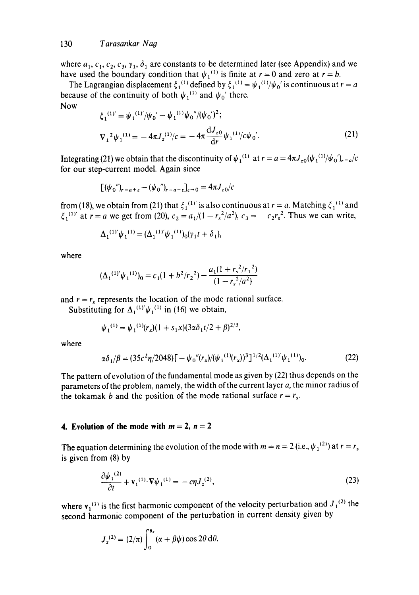#### 130 *Tarasankar Na9*

where  $a_1, c_1, c_2, c_3, \gamma_1, \delta_1$  are constants to be determined later (see Appendix) and we have used the boundary condition that  $\psi_1^{(1)}$  is finite at  $r = 0$  and zero at  $r = b$ .

The Lagrangian displacement  $\xi_1^{(1)}$  defined by  $\xi_1^{(1)} = \psi_1^{(1)}/\psi_0$  is continuous at  $r = a$ because of the continuity of both  $\psi_1^{(1)}$  and  $\psi_0'$  there.

Now

$$
\xi_1^{(1)'} = \psi_1^{(1)'} / \psi_0' - \psi_1^{(1)} \psi_0'' / (\psi_0')^2; \n\nabla_1^2 \psi_1^{(1)} = -4\pi J_z^{(1)} / c = -4\pi \frac{dJ_{z0}}{dr} \psi_1^{(1)} / c \psi_0'.
$$
\n(21)

Integrating (21) we obtain that the discontinuity of  $\psi_1^{(1)'}$  at  $r = a = 4\pi J_{z0}(\psi_1^{(1)}/\psi_0')_{r=a}/c$ for our step-current model. Again since

$$
[(\psi_0'')_{r=a+\varepsilon}-(\psi_0'')_{r=a-\varepsilon}]_{\varepsilon\to 0}=4\pi J_{z0}/c
$$

from (18), we obtain from (21) that  $\xi_1^{(1)}$  is also continuous at  $r = a$ . Matching  $\xi_1^{(1)}$  and  $\xi_1^{(1)}$  at  $r = a$  we get from (20),  $c_2 = a_1/(1 - r_s^2/a^2)$ ,  $c_3 = -c_2r_s^2$ . Thus we can write,

$$
\Delta_1^{(1)'}\psi_1^{(1)} = (\Delta_1^{(1)'}\psi_1^{(1)})_0(\gamma_1 t + \delta_1),
$$

where

$$
(\Delta_1^{(1)'}\psi_1^{(1)})_0 = c_1(1+b^2/r_2^2) - \frac{a_1(1+r_s^2/r_1^2)}{(1-r_s^2/a^2)}
$$

and  $r = r_s$  represents the location of the mode rational surface.

Substituting for  $\Delta_1^{(1)} \psi_1^{(1)}$  in (16) we obtain,

$$
\psi_1^{(1)} = \psi_1^{(1)}(r_x)(1 + s_1x)(3\alpha\delta_1t/2 + \beta)^{2/3},
$$

where

$$
\alpha \delta_1/\beta = (35c^2 \eta/2048) \left[ -\psi_0''(r_x)/(\psi_1^{(1)}(r_x))^3 \right]^{1/2} (\Delta_1^{(1)'} \psi_1^{(1)})_0.
$$
 (22)

The pattern of evolution of the fundamental mode as given by (22) thus depends on the parameters of the problem, namely, the width of the current layer a, the minor radius of the tokamak b and the position of the mode rational surface  $r = r_s$ .

### **4. Evolution of the mode with**  $m = 2$ **,**  $n = 2$

The equation determining the evolution of the mode with  $m = n = 2$  (i.e.,  $\psi_1^{(2)}$ ) at  $r = r_s$ is given from (8) by

$$
\frac{\partial \psi_1^{(2)}}{\partial t} + \mathbf{v}_1^{(1)} \cdot \nabla \psi_1^{(1)} = -c \eta J_z^{(2)},\tag{23}
$$

where  $v_1^{(1)}$  is the first harmonic component of the velocity perturbation and  $J_1^{(2)}$  the second harmonic component of the perturbation in current density given by

$$
J_z^{(2)} = (2/\pi) \int_0^{\theta_s} (\alpha + \beta \psi) \cos 2\theta \, d\theta.
$$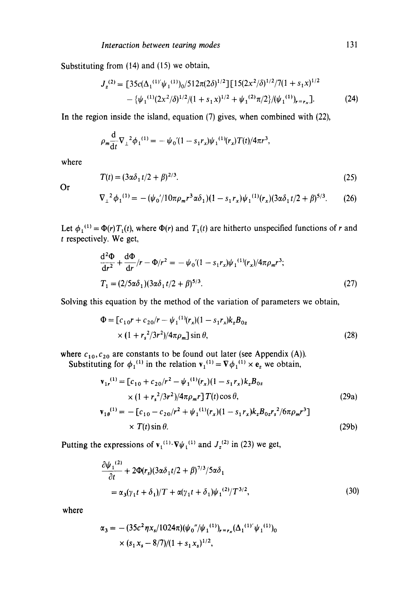Substituting from (14) and (15) we obtain,

$$
J_z^{(2)} = \left[35c(\Delta_1^{(1)}'\psi_1^{(1)})_0/512\pi(2\delta)^{1/2}\right] \left[15(2x^2/\delta)^{1/2}/7(1+s_1x)^{1/2} - \{\psi_1^{(1)}(2x^2/\delta)^{1/2}/(1+s_1x)^{1/2} + \psi_1^{(2)}\pi/2\}/(\psi_1^{(1)})_{r=r_x}\right].
$$
 (24)

In the region inside the island, equation (7) gives, when combined with (22),

$$
\rho_m \frac{d}{dt} \nabla_{\perp}^2 {\phi_1}^{(1)} = - \psi_0 \prime (1 - s_1 r_x) \psi_1^{(1)}(r_x) T(t) / 4\pi r^3,
$$

where

$$
T(t) = (3\alpha\delta_1 t/2 + \beta)^{2/3}.
$$
 (25)

Or

$$
\nabla_{\perp}^{2} \phi_{1}^{(1)} = -(\psi_{0}^{'} / 10\pi \rho_{m} r^{3} \alpha \delta_{1}) (1 - s_{1} r_{x}) \psi_{1}^{(1)}(r_{x}) (3\alpha \delta_{1} t / 2 + \beta)^{5/3}.
$$
 (26)

Let  $\phi_1^{(1)} = \Phi(r)T_1(t)$ , where  $\Phi(r)$  and  $T_1(t)$  are hitherto unspecified functions of r and **<sup>t</sup>**respectively. We get,

$$
\frac{d^2\Phi}{dr^2} + \frac{d\Phi}{dr}/r - \Phi/r^2 = -\psi_0'(1 - s_1 r_x)\psi_1^{(1)}(r_x)/4\pi\rho_m r^3;
$$
  
\n
$$
T_1 = (2/5\alpha\delta_1)(3\alpha\delta_1 t/2 + \beta)^{5/3}.
$$
\n(27)

Solving this equation by the method of the variation of parameters we obtain,

$$
\Phi = [c_{10}r + c_{20}/r - \psi_1^{(1)}(r_x)(1 - s_1r_x)k_zB_{0z} \times (1 + r_s^2/3r^2)/4\pi\rho_m] \sin \theta,
$$
\n(28)

where  $c_{10}, c_{20}$  are constants to be found out later (see Appendix (A)).

Substituting for  $\phi_1^{(1)}$  in the relation  $v_1^{(1)} = V \phi_1^{(1)} \times e_z$  we obtain,

$$
\mathbf{v}_{1r}^{(1)} = [c_{10} + c_{20}/r^2 - \psi_1^{(1)}(r_x)(1 - s_1r_x)k_zB_{0z} \times (1 + r_s^2/3r^2)/4\pi\rho_m r] T(t)\cos\theta, \qquad (29a)
$$
  

$$
\mathbf{v}_{1\theta}^{(1)} = -[c_{10} - c_{20}/r^2 + \psi_1^{(1)}(r_x)(1 - s_1r_x)k_zB_{0z}r_s^2/6\pi\rho_m r^3] \times T(t)\sin\theta. \qquad (29b)
$$

Putting the expressions of  $v_1^{(1)}\cdot \nabla \psi_1^{(1)}$  and  $J_z^{(2)}$  in (23) we get,

$$
\frac{\partial \psi_1^{(2)}}{\partial t} + 2\Phi(r_s)(3\alpha\delta_1 t/2 + \beta)^{7/3}/5\alpha\delta_1
$$
  
=  $\alpha_3(\gamma_1 t + \delta_1)/T + \alpha(\gamma_1 t + \delta_1)\psi_1^{(2)}/T^{3/2},$  (30)

where

$$
\alpha_3 = -(35c^2 \eta x_s/1024\pi)(\psi_0''/\psi_1^{(1)})_{r=r_x}(\Delta_1^{(1)'}\psi_1^{(1)})_0
$$
  
× (s<sub>1</sub>x<sub>s</sub> - 8/7)/(1 + s<sub>1</sub>x<sub>s</sub>)<sup>1/2</sup>,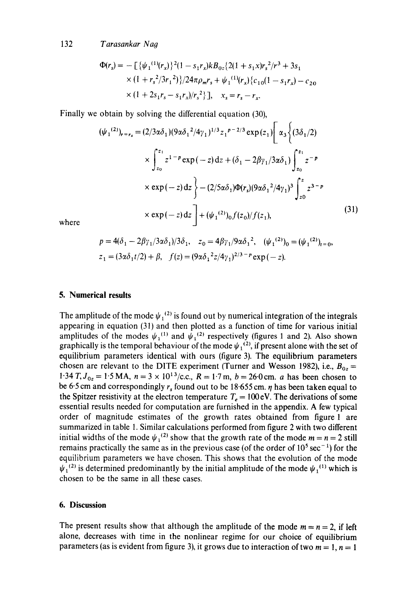132 *Tarasankar Nag* 

$$
\Phi(r_s) = -\left[\{\psi_1^{(1)}(r_x)\}^2 (1 - s_1 r_x) k B_{0z} \{2(1 + s_1 x) r_s^2 / r^3 + 3s_1
$$
  
×  $(1 + r_s^2 / 3r_1^2)\} / 24\pi \rho_m r_s + \psi_1^{(1)}(r_x) \{c_{10}(1 - s_1 r_x) - c_{20}$   
×  $(1 + 2s_1 r_s - s_1 r_x) / r_s^2\}$ ],  $x_s = r_s - r_x$ .

Finally we obtain by solving the differential equation (30),

$$
(\psi_1^{(2)})_{r=r_s} = (2/3\alpha\delta_1)(9\alpha\delta_1^2/4\gamma_1)^{1/3}z_1^{p-2/3}\exp(z_1)\bigg[\alpha_3\bigg\{(3\delta_1/2) + \sum_{z_0}^{r_1}z^{1-p}\exp(-z)\,dz + (\delta_1 - 2\beta\gamma_1/3\alpha\delta_1)\bigg\}_{z_0}^{r_1}z^{-p}
$$
  
×  $\exp(-z)\,dz\bigg\} - (2/5\alpha\delta_1)\Phi(r_s)(9\alpha\delta_1^2/4\gamma_1)^3\int_{z_0}^{z}z^{3-p}$   
×  $\exp(-z)\,dz\bigg] + (\psi_1^{(2)})_0 f(z_0)/f(z_1),$  (31)

where

$$
p = 4(\delta_1 - 2\beta \gamma_1 / 3\alpha \delta_1) / 3\delta_1, \quad z_0 = 4\beta \gamma_1 / 9\alpha \delta_1^2, \quad (\psi_1^{(2)})_0 = (\psi_1^{(2)})_{t=0},
$$
  

$$
z_1 = (3\alpha \delta_1 t/2) + \beta, \quad f(z) = (9\alpha \delta_1^2 z/4\gamma_1)^{2/3 - p} \exp(-z).
$$

### **5. Numerical results**

The amplitude of the mode  $\psi_1^{(2)}$  is found out by numerical integration of the integrals appearing in equation (31) and then plotted as a function of time for various initial amplitudes of the modes  $\psi_1^{(1)}$  and  $\psi_1^{(2)}$  respectively (figures 1 and 2). Also shown graphically is the temporal behaviour of the mode  $\psi_1^{(2)}$ , if present alone with the set of equilibrium parameters identical with ours (figure 3). The equilibrium parameters chosen are relevant to the DITE experiment (Turner and Wesson 1982), i.e.,  $B_{0z} =$ 1.34 T,  $J_{0z} = 1.5$  MA,  $n = 3 \times 10^{13}$ /c.c.,  $R = 1.7$  m,  $b = 26.0$  cm. *a* has been chosen to be 6.5 cm and correspondingly  $r_s$  found out to be 18.655 cm.  $\eta$  has been taken equal to the Spitzer resistivity at the electron temperature  $T_e = 100 \text{ eV}$ . The derivations of some essential results needed for computation are furnished in the appendix. A few typical order of magnitude estimates of the growth rates obtained from figure 1 are summarized in table 1. Similar calculations performed from figure 2 with two different initial widths of the mode  $\psi_1^{(2)}$  show that the growth rate of the mode  $m = n = 2$  still remains practically the same as in the previous case (of the order of  $10^5 \text{ sec}^{-1}$ ) for the equilibrium parameters we have chosen. This shows that the evolution of the mode  $\psi_1^{(2)}$  is determined predominantly by the initial amplitude of the mode  $\psi_1^{(1)}$  which is chosen to be the same in all these cases.

#### **6. Discussion**

The present results show that although the amplitude of the mode  $m = n = 2$ , if left alone, decreases with time in the nonlinear regime for our choice of equilibrium parameters (as is evident from figure 3), it grows due to interaction of two  $m = 1$ ,  $n = 1$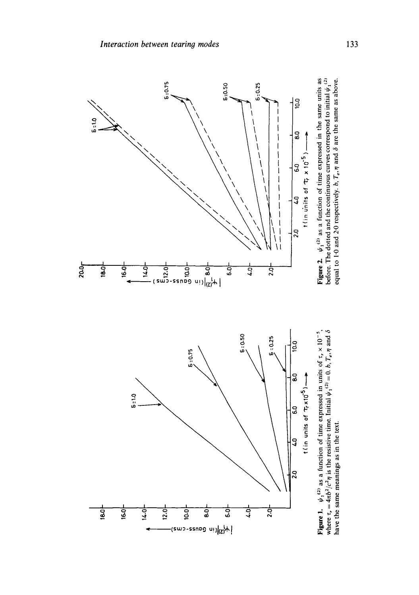

equal to 1.0 and 2.0 respectively, b,  $T_e$ ,  $\eta$  and  $\delta$  are the same as above. equal to 1.0 and 2.0 respectively. b,  $T_e$ ,  $\eta$  and  $\delta$  are the same as above. **have the same meanings as in the text.**  have the same meanings as in the text.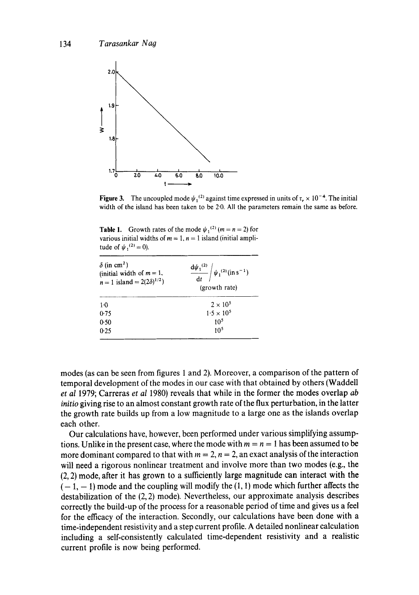

Figure 3. The uncoupled mode  $\psi_1^{(2)}$  against time expressed in units of  $\tau_r \times 10^{-4}$ . The initial width of the island has been taken to be 2.0. All the parameters remain the same as before.

**Table 1.** Growth rates of the mode  $\psi_1^{(2)}$  (m = n = 2) for various initial widths of  $m = 1$ ,  $n = 1$  island (initial amplitude of  $\psi_1^{(2)} = 0$ ).

| $\delta$ (in cm <sup>2</sup> )<br>(initial width of $m = 1$ ,<br>$n = 1$ island = 2(2 $\delta$ ) <sup>1/2</sup> ) | $\frac{d\psi_1^{(2)}}{dt} / \psi_1^{(2)} (in s^{-1})$<br>(growth rate) |
|-------------------------------------------------------------------------------------------------------------------|------------------------------------------------------------------------|
| $1-0$                                                                                                             | $2 \times 10^5$                                                        |
| 0.75                                                                                                              | $1.5 \times 10^{5}$                                                    |
| 0.50                                                                                                              | 10 <sup>5</sup>                                                        |
| 0.25                                                                                                              | 10 <sup>5</sup>                                                        |
|                                                                                                                   |                                                                        |

modes (as can be seen from figures 1 and 2). Moreover, a comparison of the pattern of temporal development of the modes in our case with that obtained by others (Waddell *et al* 1979; Carreras *et al* 1980) reveals that while in the former the modes overlap *ab initio* giving rise to an almost constant growth rate of the flux perturbation, in the latter the growth rate builds up from a low magnitude to a large one as the islands overlap each other.

Our calculations have, however, been performed under various simplifying assumptions. Unlike in the present case, where the mode with  $m = n = 1$  has been assumed to be more dominant compared to that with  $m = 2$ ,  $n = 2$ , an exact analysis of the interaction will need a rigorous nonlinear treatment and involve more than two modes (e.g., the (2, 2) mode, after it has grown to a sufficiently large magnitude can interact with the  $(-1, -1)$  mode and the coupling will modify the  $(1, 1)$  mode which further affects the destabilization of the  $(2, 2)$  mode). Nevertheless, our approximate analysis describes correctly the build-up of the process for a reasonable period of time and gives us a feel for the efficacy of the interaction. Secondly, our calculations have been done with a time-independent resistivity and a step current profile. A detailed nonlinear calculation including a self-consistently calculated time-dependent resistivity and a realistic current profile is now being performed.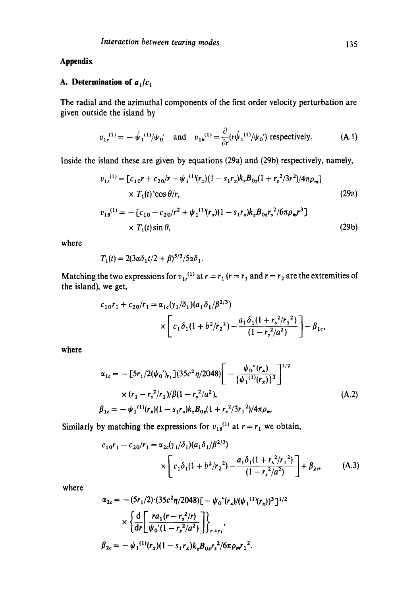## **Appendix**

# A. Determination of  $a_1/c_1$

The radial and the azimuthal components of the first order velocity perturbation are given outside the island by

$$
v_{1r}^{(1)} = -\psi_1^{(1)}/\psi_0' \quad \text{and} \quad v_{1\theta}^{(1)} = \frac{\partial}{\partial r}(r\psi_1^{(1)}/\psi_0') \text{ respectively.} \tag{A.1}
$$

Inside the island these are given by equations (29a) and (29b) respectively, namely,

$$
v_{1r}^{(1)} = [c_{10}r + c_{20}/r - \psi_1^{(1)}(r_x)(1 - s_1r_x)k_zB_{0z}(1 + r_s^2/3r^2)/4\pi\rho_m]
$$
  
×  $T_1(t)$ ′cos  $\theta/r$ , (29a)

$$
v_{1\theta}^{(1)} = -[c_{10} - c_{20}/r^2 + \psi_1^{(1)}(r_x)(1 - s_1r_x)k_zB_{0z}r_s^2/6\pi\rho_m r^3] \times T_1(t)\sin\theta,
$$
\n(29b)

where

$$
T_1(t) = 2(3\alpha \delta_1 t/2 + \beta)^{5/3}/5\alpha \delta_1.
$$

Matching the two expressions for  $v_{1r}^{(1)}$  at  $r = r_1$  ( $r = r_1$  and  $r = r_2$  are the extremities of the island), we get,

$$
c_{10}r_1 + c_{20}/r_1 = \alpha_{1c}(\gamma_1/\delta_1)(a_1\delta_1/\beta^{2/3})
$$
  
 
$$
\times \left[c_1\delta_1(1+b^2/r_2^2) - \frac{a_1\delta_1(1+r_s^2/r_1^2)}{(1-r_s^2/a^2)}\right] - \beta_{1c},
$$

where

$$
\alpha_{1c} = -\left[5r_1/2(\psi_0')_{r_1}\right](35c^2\eta/2048) \left[-\frac{\psi_0''(r_x)}{\{\psi_1^{(1)}(r_x)\}^3}\right]^{1/2}
$$
  
×  $(r_1 - r_s^2/r_1)/\beta(1 - r_s^2/a^2)$ ,  

$$
\beta_{1c} = -\psi_1^{(1)}(r_x)(1 - s_1r_x)k_zB_{0z}(1 + r_s^2/3r_1^2)/4\pi\rho_m.
$$
 (A.2)

Similarly by matching the expressions for  $v_{10}^{(1)}$  at  $r = r_1$  we obtain,

$$
c_{10}r_1 - c_{20}/r_1 = \alpha_{2c}(\gamma_1/\delta_1)(a_1\delta_1/\beta^{2/3})
$$
  
 
$$
\times \left[c_1\delta_1(1+b^2/r_2^2) - \frac{a_1\delta_1(1+r_s^2/r_1^2)}{(1-r_s^2/a^2)}\right] + \beta_{2c}, \qquad (A.3)
$$

where

$$
\alpha_{2c} = -(5r_1/2) \cdot (35c^2 \eta/2048) \left[ -\psi_0''(r_x)/(\psi_1^{(1)}(r_x))^3 \right]^{1/2}
$$

$$
\times \left\{ \frac{\mathrm{d}}{\mathrm{d}r} \left[ \frac{ra_1(r - r_s^2/r)}{\psi_0'(1 - r_s^2/a^2)} \right] \right\}_{r = r_1},
$$

$$
\beta_{2c} = -\psi_1^{(1)}(r_x)(1 - s_1 r_x) k_z B_{0z} r_s^2/6\pi \rho_m r_1^2.
$$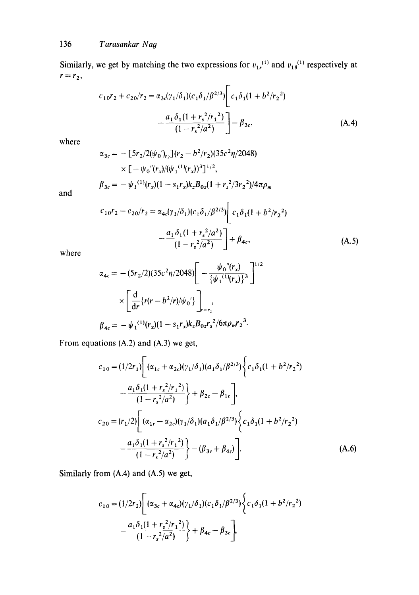Similarly, we get by matching the two expressions for  $v_{1r}^{(1)}$  and  $v_{1\theta}^{(1)}$  respectively at  $r = r_2$ ,

$$
c_{10}r_2 + c_{20}/r_2 = \alpha_{3c}(\gamma_1/\delta_1)(c_1\delta_1/\beta^{2/3}) \left[ c_1\delta_1(1+b^2/r_2^2) -\frac{a_1\delta_1(1+r_s^2/r_1^2)}{(1-r_s^2/a^2)} \right] - \beta_{3c},
$$
\n(A.4)

where

$$
\alpha_{3c} = -[5r_2/2(\psi_0')_{r_2}](r_2 - b^2/r_2)(35c^2\eta/2048)
$$
  
×  $[-\psi_0''(r_x)/(\psi_1^{(1)}(r_x))^3]^{1/2}$ ,  

$$
\beta_{3c} = -\psi_1^{(1)}(r_x)(1 - s_1r_x)k_zB_{0z}(1 + r_s^2/3r_2^2)/4\pi\rho_m
$$

and

$$
c_{10}r_2 - c_{20}/r_2 = \alpha_{4c}(\gamma_1/\delta_1)(c_1\delta_1/\beta^{2/3}) \left[ c_1\delta_1(1 + b^2/r_2^2) -\frac{a_1\delta_1(1 + r_s^2/a^2)}{(1 - r_s^2/a^2)} \right] + \beta_{4c},
$$
\n(A.5)

$$
\alpha_{4c} = -(5r_2/2)(35c^2\eta/2048) \left[ -\frac{\psi_0''(r_x)}{\{\psi_1^{(1)}(r_x)\}^3} \right]^{1/2}
$$

$$
\times \left[ \frac{d}{dr} \{r(r - b^2/r)/\psi_0'\} \right]_{r=r_1},
$$

$$
\beta_{4c} = -\psi_1^{(1)}(r_x)(1 - s_1r_x)k_z B_{0z} r_s^2/6\pi\rho_m r_2^3.
$$

From equations (A.2) and (A.3) we get,

$$
c_{10} = (1/2r_1) \left[ (\alpha_{1c} + \alpha_{2c})(\gamma_1/\delta_1)(a_1\delta_1/\beta^{2/3}) \left\{ c_1\delta_1(1 + b^2/r_2^2) - \frac{a_1\delta_1(1 + r_s^2/r_1^2)}{(1 - r_s^2/a^2)} \right\} + \beta_{2c} - \beta_{1c} \right],
$$
  

$$
c_{20} = (r_1/2) \left[ (\alpha_{1c} - \alpha_{2c})(\gamma_1/\delta_1)(a_1\delta_1/\beta^{2/3}) \left\{ c_1\delta_1(1 + b^2/r_2^2) - \frac{a_1\delta_1(1 + r_s^2/r_1^2)}{(1 - r_s^2/a^2)} \right\} - (\beta_{3c} + \beta_{4c}) \right].
$$
 (A.6)

Similarly from (A.4) and (A.5) we get,

$$
c_{10} = (1/2r_2) \left[ (\alpha_{3c} + \alpha_{4c})(\gamma_1/\delta_1)(c_1\delta_1/\beta^{2/3}) \left\{ c_1\delta_1(1 + b^2/r_2^2) - \frac{a_1\delta_1(1 + r_s^2/r_1^2)}{(1 - r_s^2/a^2)} \right\} + \beta_{4c} - \beta_{3c} \right],
$$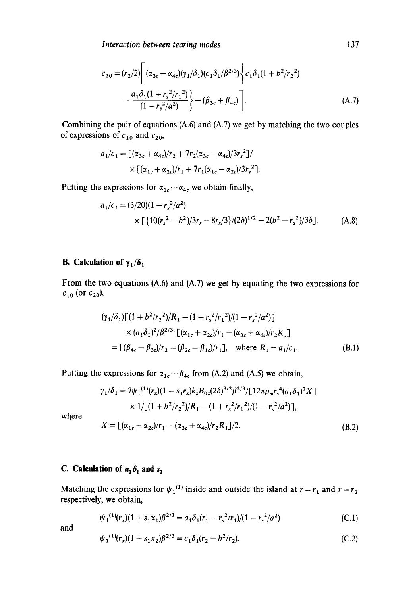**Interaction between tearing modes** 

$$
c_{20} = (r_2/2) \left[ (\alpha_{3c} - \alpha_{4c})(\gamma_1/\delta_1)(c_1\delta_1/\beta^{2/3}) \left\{ c_1\delta_1(1 + b^2/r_2^2) - \frac{a_1\delta_1(1 + r_s^2/r_1^2)}{(1 - r_s^2/a^2)} \right\} - (\beta_{3c} + \beta_{4c}) \right].
$$
\n(A.7)

Combining the pair of equations (A.6) and (A.7) we get by matching the two couples of expressions of  $c_{10}$  and  $c_{20}$ ,

$$
a_1/c_1 = \left[ (\alpha_{3c} + \alpha_{4c})/r_2 + 7r_2(\alpha_{3c} - \alpha_{4c})/3r_s^2 \right] / \times \left[ (\alpha_{1c} + \alpha_{2c})/r_1 + 7r_1(\alpha_{1c} - \alpha_{2c})/3r_s^2 \right].
$$

Putting the expressions for  $\alpha_{1c} \cdots \alpha_{4c}$  we obtain finally,

$$
a_1/c_1 = (3/20)(1 - r_s^2/a^2)
$$
  
×  $\left[\frac{10(r_s^2 - b^2)}{3r_s - 8r_s/3}\right]/(2\delta)^{1/2} - 2(b^2 - r_s^2)/3\delta$ ]. (A.8)

# **B.** Calculation of  $\gamma_1/\delta_1$

From the two equations (A.6) and (A.7) we get by equating the two expressions for  $c_{10}$  (or  $c_{20}$ ),

$$
(\gamma_1/\delta_1)[(1+b^2/r_2^2)/R_1 - (1+r_s^2/r_1^2)/(1-r_s^2/a^2)]
$$
  
 
$$
\times (a_1\delta_1)^2/\beta^{2/3} \cdot [(\alpha_{1c} + \alpha_{2c})/r_1 - (\alpha_{3c} + \alpha_{4c})/r_2R_1]
$$
  
=  $[(\beta_{4c} - \beta_{3c})/r_2 - (\beta_{2c} - \beta_{1c})/r_1], \text{ where } R_1 = a_1/c_1.$  (B.1)

Putting the expressions for  $\alpha_{1c} \cdots \beta_{4c}$  from (A.2) and (A.5) we obtain,

$$
\gamma_1/\delta_1 = 7\psi_1^{(1)}(r_x)(1 - s_1r_x)k_zB_{0z}(2\delta)^{3/2}\beta^{2/3}/[12\pi\rho_m r_s^4(a_1\delta_1)^2X] \times 1/[(1 + b^2/r_2^2)/R_1 - (1 + r_s^2/r_1^2)/(1 - r_s^2/a^2)],
$$

where

$$
X = [(\alpha_{1c} + \alpha_{2c})/r_1 - (\alpha_{3c} + \alpha_{4c})/r_2R_1]/2.
$$
 (B.2)

# **C.** Calculation of  $a_1 \delta_1$  and  $s_1$

Matching the expressions for  $\psi_1^{(1)}$  inside and outside the island at  $r = r_1$  and  $r = r_2$ respectively, we obtain,

$$
\psi_1^{(1)}(r_x)(1+s_1x_1)\beta^{2/3} = a_1\delta_1(r_1-r_s^2/r_1)/(1-r_s^2/a^2)
$$
 (C.1)

and

$$
\psi_1^{(1)}(r_x)(1+s_1x_2)\beta^{2/3} = c_1\delta_1(r_2-b^2/r_2). \tag{C.2}
$$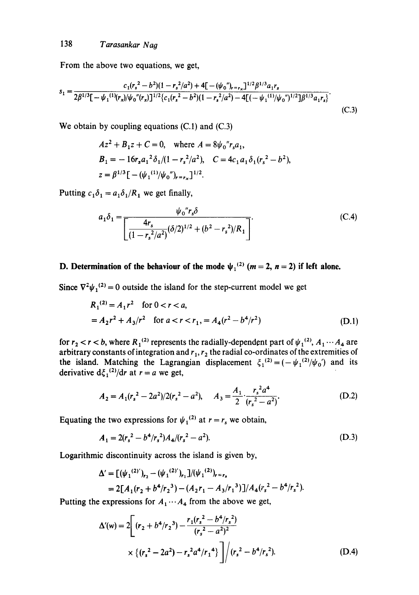From the above two equations, we get,

$$
s_1 = \frac{c_1(r_s^2 - b^2)(1 - r_s^2/a^2) + 4[-(\psi_0'')_{r=r_s}]^{1/2}\beta^{1/3}a_1r_s}{2\beta^{1/3}[-\psi_1^{(1)}(r_s)/\psi_0''(r_s)]^{1/2}\left(c_1(r_s^2 - b^2)(1 - r_s^2/a^2) - 4[(-\psi_1^{(1)}/\psi_0'')^{1/2}]\beta^{1/3}a_1r_s\right)}.
$$
(C.3)

We obtain by coupling equations (C.1) and (C.3)

$$
Az^{2} + B_{1}z + C = 0, \text{ where } A = 8\psi_{0}''r_{s}a_{1},
$$
  
\n
$$
B_{1} = -16r_{s}a_{1}^{2}\delta_{1}/(1 - r_{s}^{2}/a^{2}), \quad C = 4c_{1}a_{1}\delta_{1}(r_{s}^{2} - b^{2}),
$$
  
\n
$$
z = \beta^{1/3}\left[-(\psi_{1}^{(1)}/\psi_{0})_{r=r_{x}}\right]^{1/2}.
$$

Putting  $c_1 \delta_1 = a_1 \delta_1 / R_1$  we get finally,

$$
a_1 \delta_1 = \frac{\psi_0{}^r r_s \delta}{\left[ \frac{4r_s}{(1 - r_s{}^2/a^2)} (\delta/2)^{1/2} + (b^2 - r_s{}^2)/R_1 \right]}.
$$
 (C.4)

# **D. Determination of the behaviour of the mode**  $\psi_1^{(2)}$  **(** $m = 2$ **,**  $n = 2$ **) if left alone.**

Since  $\nabla^2 \psi_1^{(2)} = 0$  outside the island for the step-current model we get

$$
R_1^{(2)} = A_1 r^2 \quad \text{for } 0 < r < a,
$$
\n
$$
= A_2 r^2 + A_3 / r^2 \quad \text{for } a < r < r_1, \quad = A_4 (r^2 - b^4 / r^2) \tag{D.1}
$$

for  $r_2 < r < b$ , where  $R_1^{(2)}$  represents the radially-dependent part of  $\psi_1^{(2)}, A_1 \cdots A_4$  are arbitrary constants of integration and  $r_1, r_2$  the radial co-ordinates of the extremities of the island. Matching the Lagrangian displacement  $\xi_1^{(2)} = (-\psi_1^{(2)}/\psi_0)$  and its derivative  $d\zeta_1^{(2)}/dr$  at  $r = a$  we get,

$$
A_2 = A_1 (r_s^2 - 2a^2)/2(r_s^2 - a^2), \quad A_3 = \frac{A_1}{2} \cdot \frac{r_s^2 a^4}{(r_s^2 - a^2)}.
$$
 (D.2)

Equating the two expressions for  $\psi_1^{(2)}$  at  $r = r_s$  we obtain,

$$
A_1 = 2(r_s^2 - b^4/r_s^2)A_4/(r_s^2 - a^2). \tag{D.3}
$$

Logarithmic discontinuity across the island is given by,

$$
\Delta' = [(\psi_1^{(2)'})_{r_2} - (\psi_1^{(2)'})_{r_1}]/(\psi_1^{(2)})_{r=r_s}
$$
  
= 2[A<sub>1</sub>(r<sub>2</sub> + b<sup>4</sup>/r<sub>2</sub><sup>3</sup>) - (A<sub>2</sub>r<sub>1</sub> - A<sub>3</sub>/r<sub>1</sub><sup>3</sup>)]/A<sub>4</sub>(r<sub>s</sub><sup>2</sup> - b<sup>4</sup>/r<sub>s</sub><sup>2</sup>).

Putting the expressions for  $A_1 \cdots A_4$  from the above we get,

$$
\Delta'(w) = 2 \left[ (r_2 + b^4/r_2^3) - \frac{r_1(r_s^2 - b^4/r_s^2)}{(r_s^2 - a^2)^2} \times \left\{ (r_s^2 - 2a^2) - r_s^2 a^4/r_1^4 \right\} \right] / (r_s^2 - b^4/r_s^2). \tag{D.4}
$$